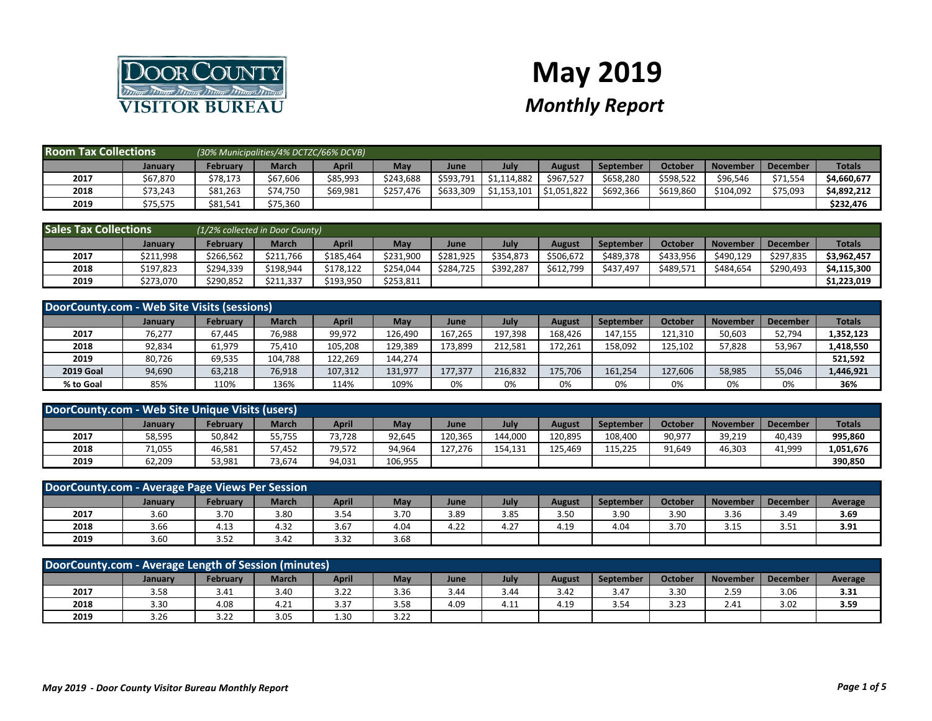

## **May 2019** *Monthly Report*

| <b>Room Tax Collections</b> |          | (30% Municipalities/4% DCTZC/66% DCVB) |              |          |           |           |             |               |                  |           |                 |                 |               |
|-----------------------------|----------|----------------------------------------|--------------|----------|-----------|-----------|-------------|---------------|------------------|-----------|-----------------|-----------------|---------------|
|                             | January  | February                               | <b>March</b> | April    | May       | June      | July        | <b>August</b> | <b>September</b> | October   | <b>November</b> | <b>December</b> | <b>Totals</b> |
| 2017                        | \$67,870 | \$78,173                               | \$67,606     | \$85,993 | \$243.688 | \$593,791 | \$1,114,882 | \$967.527     | \$658,280        | \$598,522 | \$96,546        | \$71,554        | \$4,660,677   |
| 2018                        | \$73,243 | \$81,263                               | \$74,750     | \$69,981 | \$257,476 | \$633,309 | \$1,153,101 | \$1,051,822   | \$692,366        | \$619,860 | \$104,092       | \$75,093        | \$4,892,212   |
| 2019                        | \$75,575 | \$81,541                               | \$75,360     |          |           |           |             |               |                  |           |                 |                 | \$232,476     |

| <b>Sales Tax Collections</b> |           | $(1/2%$ collected in Door County) |              |           |           |           |           |           |                  |           |                 |                 |               |
|------------------------------|-----------|-----------------------------------|--------------|-----------|-----------|-----------|-----------|-----------|------------------|-----------|-----------------|-----------------|---------------|
|                              | January   | <b>February</b>                   | <b>March</b> | April     | May       | June      | July      | August    | <b>September</b> | Octobe    | <b>November</b> | <b>December</b> | <b>Totals</b> |
| 2017                         | \$211,998 | \$266,562                         | \$211,766    | \$185.464 | \$231,900 | \$281.925 | \$354,873 | \$506,672 | \$489,378        | \$433,956 | \$490,129       | \$297.835       | \$3,962,457   |
| 2018                         | \$197,823 | \$294,339                         | \$198,944    | \$178.122 | \$254.044 | \$284,725 | \$392.287 | \$612.799 | \$437,497        | \$489.571 | \$484.654       | \$290.493       | \$4,115,300   |
| 2019                         | \$273,070 | \$290,852                         | \$211,337    | \$193,950 | \$253,811 |           |           |           |                  |           |                 |                 | \$1,223,019   |

| DoorCounty.com - Web Site Visits (sessions) |                |                 |              |         |         |         |         |         |                  |         |                 |                 |               |
|---------------------------------------------|----------------|-----------------|--------------|---------|---------|---------|---------|---------|------------------|---------|-----------------|-----------------|---------------|
|                                             | <b>January</b> | <b>February</b> | <b>March</b> | April   | May     | June    | July    | August  | <b>September</b> | October | <b>November</b> | <b>December</b> | <b>Totals</b> |
| 2017                                        | 76,277         | 67,445          | 76,988       | 99,972  | 126.490 | 167.265 | 197.398 | 168.426 | 147.155          | 121.310 | 50,603          | 52,794          | 1,352,123     |
| 2018                                        | 92,834         | 61,979          | 75,410       | 105,208 | 129,389 | 173,899 | 212.581 | 172.261 | 158,092          | 125,102 | 57,828          | 53,967          | 1,418,550     |
| 2019                                        | 80,726         | 69,535          | 104,788      | 122,269 | 144,274 |         |         |         |                  |         |                 |                 | 521,592       |
| <b>2019 Goal</b>                            | 94,690         | 63,218          | 76,918       | 107,312 | 131,977 | 177,377 | 216,832 | 175,706 | 161.254          | 127,606 | 58,985          | 55,046          | 1,446,921     |
| % to Goal                                   | 85%            | 110%            | 136%         | 114%    | 109%    | 0%      | 0%      | 0%      | 0%               | 0%      | 0%              | 0%              | 36%           |

| DoorCounty.com - Web Site Unique Visits (users) |         |          |              |        |         |         |         |         |                  |         |          |                 |               |
|-------------------------------------------------|---------|----------|--------------|--------|---------|---------|---------|---------|------------------|---------|----------|-----------------|---------------|
|                                                 | January | Februarv | <b>March</b> | April  | Mav     | June    | July    | August  | <b>September</b> | October | November | <b>December</b> | <b>Totals</b> |
| 2017                                            | 58,595  | 50,842   | 55,755       | 73,728 | 92,645  | 120,365 | 144,000 | 120,895 | 108,400          | 90,977  | 39,219   | 40.439          | 995,860       |
| 2018                                            | 71,055  | 46.581   | 57.452       | 79.572 | 94.964  | 127.276 | 154.131 | 125.469 | 115.225          | 91,649  | 46.303   | 41.999          | 1,051,676     |
| 2019                                            | 62,209  | 53,981   | 73,674       | 94,031 | 106,955 |         |         |         |                  |         |          |                 | 390.850       |

| DoorCounty.com - Average Page Views Per Session |         |          |              |       |      |      |      |        |                  |         |                 |                 |         |
|-------------------------------------------------|---------|----------|--------------|-------|------|------|------|--------|------------------|---------|-----------------|-----------------|---------|
|                                                 | January | February | <b>March</b> | April | May  | June | July | August | <b>September</b> | October | <b>November</b> | <b>December</b> | Average |
| 2017                                            | 3.60    | 3.70     | 3.80         | 3.54  | 3.70 | 3.89 | 3.85 | 3.50   | 3.90             | 3.90    | 3.36            | 3.49            | 3.69    |
| 2018                                            | 3.66    | 4.13     | 4.32         | 3.67  | 4.04 | 4.22 | 4.27 | 4.19   | 4.04             | 3.70    | 3.15            | 3.51            | 3.91    |
| 2019                                            | 3.60    | 3.52     | 3.42         | 3.32  | 3.68 |      |      |        |                  |         |                 |                 |         |

| DoorCounty.com - Average Length of Session (minutes)                                                                                                   |      |      |      |      |      |      |           |      |      |      |      |      |      |
|--------------------------------------------------------------------------------------------------------------------------------------------------------|------|------|------|------|------|------|-----------|------|------|------|------|------|------|
| July<br>Februarv<br><b>March</b><br>April<br>Mav<br>October<br><b>November</b><br><b>December</b><br>September<br>Average<br>August<br>January<br>June |      |      |      |      |      |      |           |      |      |      |      |      |      |
| 2017                                                                                                                                                   | 3.58 | 3.41 | 3.4C | 3.22 | 3.36 | 3.44 | 3.44      | 3.42 | 3.47 | 3.30 | 2.59 | 3.06 | 3.31 |
| 2018                                                                                                                                                   | 3.30 | 4.08 | 4.21 | 3.37 | 3.58 | 4.09 | A<br>4.LL | 4.19 | 3.54 | 3.23 | 2.41 | 3.02 | 3.59 |
| 2019                                                                                                                                                   | 3.26 | 3.22 | 3.05 | 1.30 | 3.22 |      |           |      |      |      |      |      |      |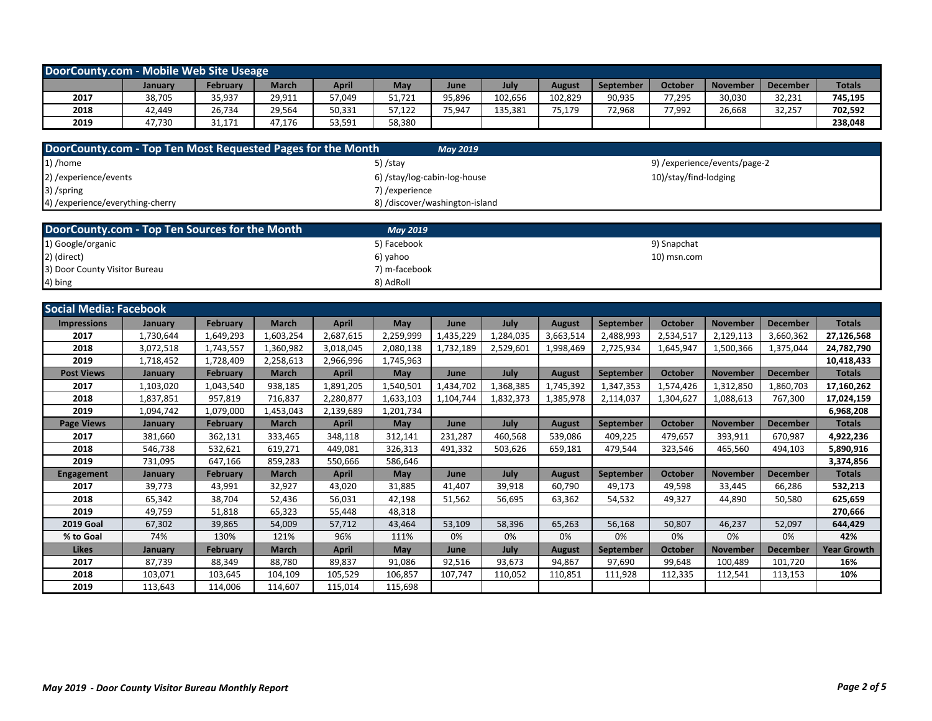| DoorCounty.com - Mobile Web Site Useage |         |                 |        |        |        |        |         |         |                  |         |                 |                 |               |
|-----------------------------------------|---------|-----------------|--------|--------|--------|--------|---------|---------|------------------|---------|-----------------|-----------------|---------------|
|                                         | January | <b>February</b> | March  | April  | May    | June   | July    | August  | <b>September</b> | October | <b>November</b> | <b>December</b> | <b>Totals</b> |
| 2017                                    | 38,705  | 35,937          | 29,911 | 57,049 | 51,721 | 95,896 | 102.656 | 102,829 | 90,935           | 77,295  | 30,030          | 32,231          | 745,195       |
| 2018                                    | 42.449  | 26.734          | 29,564 | 50,331 | 57.122 | 75,947 | 135,381 | 75,179  | 72,968           | 77,992  | 26,668          | 32,257          | 702,592       |
| 2019                                    | 47.730  | 31,171          | 47,176 | 53,591 | 58,380 |        |         |         |                  |         |                 |                 | 238,048       |

| DoorCounty.com - Top Ten Most Requested Pages for the Month | <b>May 2019</b>                |                              |
|-------------------------------------------------------------|--------------------------------|------------------------------|
| $1)$ /home                                                  | 5) /stay                       | 9) /experience/events/page-2 |
| 2) / experience/events                                      | 6) /stay/log-cabin-log-house   | 10)/stay/find-lodging        |
| 3) /spring                                                  | 7) / experience                |                              |
| 4) /experience/everything-cherry                            | 8) /discover/washington-island |                              |

| DoorCounty.com - Top Ten Sources for the Month | <b>May 2019</b> |             |
|------------------------------------------------|-----------------|-------------|
| 1) Google/organic                              | 5) Facebook     | 9) Snapchat |
| 2) (direct)                                    | 6) vahoo        | 10) msn.com |
| 3) Door County Visitor Bureau                  | 7) m-facebook   |             |
| 4) bing                                        | 8) AdRoll       |             |

| <b>Social Media: Facebook</b> |           |                 |              |              |            |           |           |               |                  |                |                 |                 |                    |
|-------------------------------|-----------|-----------------|--------------|--------------|------------|-----------|-----------|---------------|------------------|----------------|-----------------|-----------------|--------------------|
| <b>Impressions</b>            | January   | <b>February</b> | <b>March</b> | <b>April</b> | May        | June      | July      | <b>August</b> | <b>September</b> | October        | <b>November</b> | <b>December</b> | <b>Totals</b>      |
| 2017                          | 1,730,644 | 1,649,293       | 1,603,254    | 2,687,615    | 2,259,999  | 1,435,229 | 1,284,035 | 3,663,514     | 2,488,993        | 2,534,517      | 2,129,113       | 3,660,362       | 27,126,568         |
| 2018                          | 3,072,518 | 1,743,557       | 1,360,982    | 3,018,045    | 2,080,138  | 1,732,189 | 2,529,601 | 1,998,469     | 2,725,934        | 1,645,947      | 1,500,366       | 1,375,044       | 24,782,790         |
| 2019                          | 1,718,452 | 1,728,409       | 2,258,613    | 2,966,996    | 1,745,963  |           |           |               |                  |                |                 |                 | 10,418,433         |
| <b>Post Views</b>             | January   | <b>February</b> | <b>March</b> | <b>April</b> | May        | June      | July      | <b>August</b> | September        | <b>October</b> | <b>November</b> | <b>December</b> | <b>Totals</b>      |
| 2017                          | 1,103,020 | 1,043,540       | 938,185      | 1,891,205    | 1,540,501  | 1,434,702 | 1,368,385 | 1,745,392     | 1,347,353        | 1,574,426      | 1,312,850       | 1,860,703       | 17,160,262         |
| 2018                          | 1,837,851 | 957,819         | 716,837      | 2,280,877    | 1,633,103  | 1,104,744 | 1,832,373 | 1,385,978     | 2,114,037        | 1,304,627      | 1,088,613       | 767,300         | 17,024,159         |
| 2019                          | 1,094,742 | 1,079,000       | 1,453,043    | 2,139,689    | 1,201,734  |           |           |               |                  |                |                 |                 | 6,968,208          |
| <b>Page Views</b>             | January   | February        | <b>March</b> | <b>April</b> | May        | June      | July      | <b>August</b> | <b>September</b> | <b>October</b> | <b>November</b> | <b>December</b> | <b>Totals</b>      |
| 2017                          | 381,660   | 362,131         | 333,465      | 348,118      | 312,141    | 231,287   | 460,568   | 539,086       | 409,225          | 479,657        | 393,911         | 670,987         | 4,922,236          |
| 2018                          | 546,738   | 532,621         | 619,271      | 449,081      | 326,313    | 491,332   | 503,626   | 659,181       | 479,544          | 323,546        | 465,560         | 494,103         | 5,890,916          |
| 2019                          | 731,095   | 647,166         | 859,283      | 550,666      | 586,646    |           |           |               |                  |                |                 |                 | 3,374,856          |
| <b>Engagement</b>             | January   | <b>February</b> | <b>March</b> | <b>April</b> | <b>May</b> | June      | July      | <b>August</b> | September        | October        | <b>November</b> | <b>December</b> | <b>Totals</b>      |
| 2017                          | 39,773    | 43,991          | 32,927       | 43,020       | 31,885     | 41,407    | 39,918    | 60,790        | 49,173           | 49,598         | 33,445          | 66,286          | 532,213            |
| 2018                          | 65,342    | 38,704          | 52,436       | 56,031       | 42,198     | 51,562    | 56,695    | 63,362        | 54,532           | 49,327         | 44,890          | 50,580          | 625,659            |
| 2019                          | 49,759    | 51,818          | 65,323       | 55,448       | 48,318     |           |           |               |                  |                |                 |                 | 270,666            |
| <b>2019 Goal</b>              | 67,302    | 39,865          | 54,009       | 57,712       | 43,464     | 53,109    | 58,396    | 65,263        | 56,168           | 50,807         | 46,237          | 52,097          | 644,429            |
| % to Goal                     | 74%       | 130%            | 121%         | 96%          | 111%       | 0%        | 0%        | 0%            | 0%               | 0%             | 0%              | 0%              | 42%                |
| <b>Likes</b>                  | January   | <b>February</b> | <b>March</b> | <b>April</b> | May        | June      | July      | <b>August</b> | September        | <b>October</b> | <b>November</b> | <b>December</b> | <b>Year Growth</b> |
| 2017                          | 87,739    | 88,349          | 88,780       | 89,837       | 91,086     | 92,516    | 93,673    | 94,867        | 97,690           | 99,648         | 100,489         | 101,720         | 16%                |
| 2018                          | 103,071   | 103,645         | 104,109      | 105,529      | 106,857    | 107,747   | 110,052   | 110,851       | 111,928          | 112,335        | 112,541         | 113,153         | 10%                |
| 2019                          | 113,643   | 114,006         | 114,607      | 115,014      | 115,698    |           |           |               |                  |                |                 |                 |                    |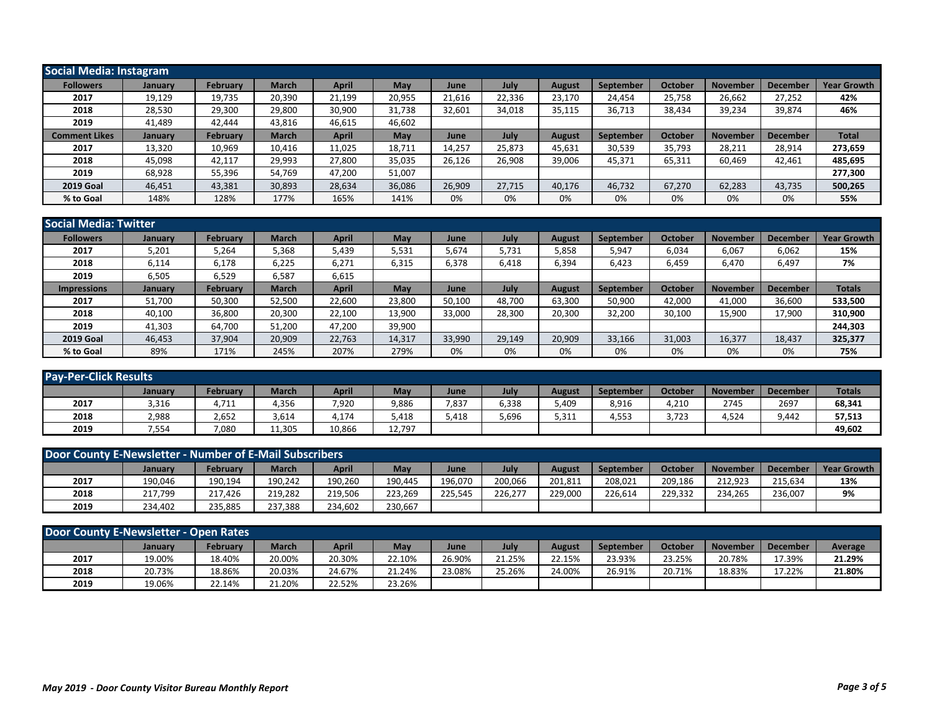| <b>Social Media: Instagram</b> |                |                 |              |              |        |        |        |               |           |                |                 |                 |                    |
|--------------------------------|----------------|-----------------|--------------|--------------|--------|--------|--------|---------------|-----------|----------------|-----------------|-----------------|--------------------|
| <b>Followers</b>               | January        | <b>February</b> | <b>March</b> | <b>April</b> | May    | June   | July   | <b>August</b> | September | <b>October</b> | <b>November</b> | December        | <b>Year Growth</b> |
| 2017                           | 19,129         | 19,735          | 20,390       | 21,199       | 20,955 | 21,616 | 22,336 | 23,170        | 24,454    | 25,758         | 26,662          | 27,252          | 42%                |
| 2018                           | 28,530         | 29,300          | 29,800       | 30,900       | 31,738 | 32,601 | 34,018 | 35,115        | 36,713    | 38,434         | 39,234          | 39,874          | 46%                |
| 2019                           | 41,489         | 42,444          | 43,816       | 46,615       | 46,602 |        |        |               |           |                |                 |                 |                    |
| <b>Comment Likes</b>           | <b>January</b> | <b>February</b> | <b>March</b> | April        | May    | June   | July   | <b>August</b> | September | October        | <b>November</b> | <b>December</b> | <b>Total</b>       |
| 2017                           | 13,320         | 10,969          | 10,416       | 11,025       | 18,711 | 14,257 | 25,873 | 45,631        | 30,539    | 35,793         | 28,211          | 28,914          | 273,659            |
| 2018                           | 45.098         | 42.117          | 29,993       | 27,800       | 35,035 | 26,126 | 26.908 | 39,006        | 45,371    | 65,311         | 60,469          | 42,461          | 485,695            |
| 2019                           | 68,928         | 55,396          | 54,769       | 47,200       | 51,007 |        |        |               |           |                |                 |                 | 277,300            |
| <b>2019 Goal</b>               | 46,451         | 43,381          | 30,893       | 28,634       | 36,086 | 26,909 | 27.715 | 40,176        | 46,732    | 67,270         | 62,283          | 43,735          | 500,265            |
| % to Goal                      | 148%           | 128%            | 177%         | 165%         | 141%   | 0%     | 0%     | 0%            | 0%        | 0%             | 0%              | 0%              | 55%                |

| <b>Social Media: Twitter</b> |                |                 |              |        |            |        |        |               |                  |         |          |                 |                    |
|------------------------------|----------------|-----------------|--------------|--------|------------|--------|--------|---------------|------------------|---------|----------|-----------------|--------------------|
| <b>Followers</b>             | January        | February        | <b>March</b> | April  | May        | June   | July   | <b>August</b> | September        | October | Novembeı | <b>December</b> | <b>Year Growth</b> |
| 2017                         | 5,201          | 5,264           | 5,368        | 5,439  | 5,531      | 5,674  | 5,731  | 5,858         | 5,947            | 6,034   | 6,067    | 6,062           | 15%                |
| 2018                         | 6,114          | 6,178           | 6,225        | 6,271  | 6,315      | 6,378  | 6,418  | 6,394         | 6,423            | 6,459   | 6,470    | 6,497           | 7%                 |
| 2019                         | 6,505          | 6,529           | 6,587        | 6,615  |            |        |        |               |                  |         |          |                 |                    |
| <b>Impressions</b>           | <b>January</b> | <b>February</b> | <b>March</b> | April  | <b>May</b> | June   | July   | August        | <b>September</b> | October | November | <b>December</b> | <b>Totals</b>      |
| 2017                         | 51,700         | 50,300          | 52,500       | 22,600 | 23,800     | 50,100 | 48,700 | 63,300        | 50,900           | 42,000  | 41,000   | 36,600          | 533,500            |
| 2018                         | 40,100         | 36,800          | 20,300       | 22,100 | 13,900     | 33,000 | 28,300 | 20,300        | 32,200           | 30,100  | 15,900   | 17,900          | 310,900            |
| 2019                         | 41,303         | 64,700          | 51,200       | 47,200 | 39,900     |        |        |               |                  |         |          |                 | 244,303            |
| <b>2019 Goal</b>             | 46,453         | 37,904          | 20,909       | 22,763 | 14,317     | 33,990 | 29,149 | 20,909        | 33,166           | 31,003  | 16,377   | 18,437          | 325,377            |
| % to Goal                    | 89%            | 171%            | 245%         | 207%   | 279%       | 0%     | 0%     | 0%            | 0%               | 0%      | 0%       | 0%              | 75%                |

| <b>Pay-Per-Click Results</b> |         |          |              |              |            |       |       |        |                  |         |                 |                 |               |
|------------------------------|---------|----------|--------------|--------------|------------|-------|-------|--------|------------------|---------|-----------------|-----------------|---------------|
|                              | January | Februarv | <b>March</b> | <b>April</b> | <b>May</b> | June  | July  | August | <b>September</b> | October | <b>November</b> | <b>December</b> | <b>Totals</b> |
| 2017                         | 3,316   | 4,711    | 4,356        | 7,920        | 9,886      | 7,837 | 6,338 | 5,409  | 8,916            | 4,210   | 2745            | 2697            | 68,341        |
| 2018                         | 2,988   | 2,652    | 3,614        | 4,174        | 5,418      | 5.418 | 5,696 | 5,311  | 4,553            | 3.723   | 4,524           | 9.442           | 57,513        |
| 2019                         | 7,554   | 7,080    | 11,305       | 10,866       | 12,797     |       |       |        |                  |         |                 |                 | 49,602        |

| Door County E-Newsletter - Number of E-Mail Subscribers |         |                 |              |              |         |         |         |               |           |         |                 |                 |                    |
|---------------------------------------------------------|---------|-----------------|--------------|--------------|---------|---------|---------|---------------|-----------|---------|-----------------|-----------------|--------------------|
|                                                         | January | <b>February</b> | <b>March</b> | <b>April</b> | May     | June    | July    | <b>August</b> | September | October | <b>November</b> | <b>December</b> | <b>Year Growth</b> |
| 2017                                                    | 190,046 | 190,194         | 190,242      | 190,260      | 190.445 | 196,070 | 200,066 | 201,811       | 208,021   | 209,186 | 212.923         | 215,634         | 13%                |
| 2018                                                    | 217,799 | 217.426         | 219,282      | 219,506      | 223,269 | 225,545 | 226.277 | 229,000       | 226,614   | 229.332 | 234,265         | 236,007         | 9%                 |
| 2019                                                    | 234.402 | 235.885         | 237,388      | 234,602      | 230,667 |         |         |               |           |         |                 |                 |                    |

| Door County E-Newsletter - Open Rates |         |                 |              |              |        |        |        |        |           |         |                 |          |         |
|---------------------------------------|---------|-----------------|--------------|--------------|--------|--------|--------|--------|-----------|---------|-----------------|----------|---------|
|                                       | January | <b>February</b> | <b>March</b> | <b>April</b> | May    | June   | July   | August | September | October | <b>November</b> | December | Average |
| 2017                                  | 19.00%  | 18.40%          | 20.00%       | 20.30%       | 22.10% | 26.90% | 21.25% | 22.15% | 23.93%    | 23.25%  | 20.78%          | 17.39%   | 21.29%  |
| 2018                                  | 20.73%  | 18.86%          | 20.03%       | 24.67%       | 21.24% | 23.08% | 25.26% | 24.00% | 26.91%    | 20.71%  | 18.83%          | 17.22%   | 21.80%  |
| 2019                                  | 19.06%  | 22.14%          | 21.20%       | 22.52%       | 23.26% |        |        |        |           |         |                 |          |         |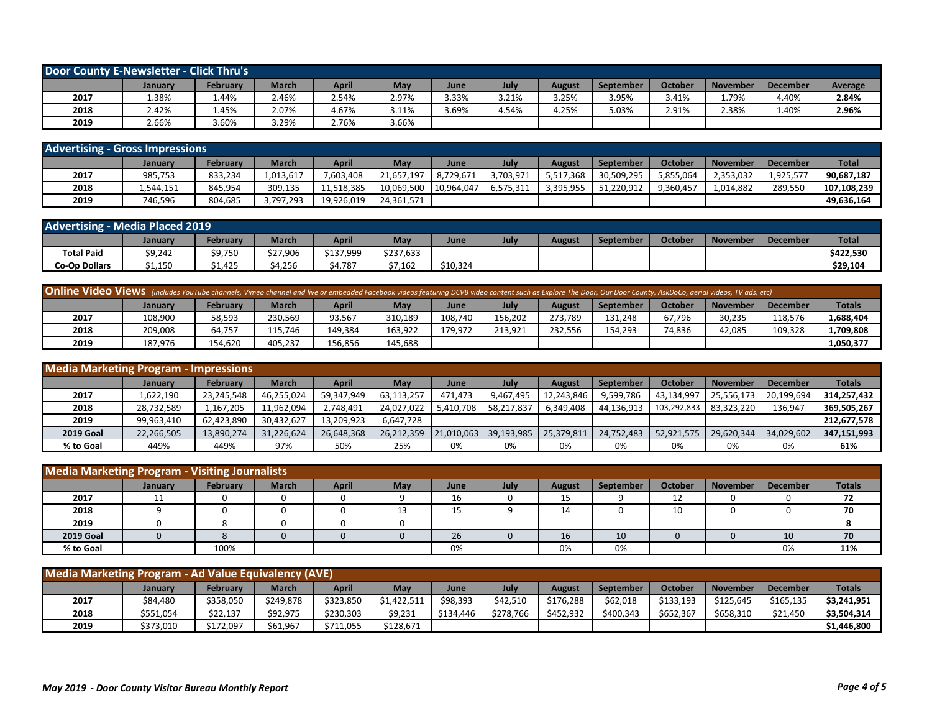| Door County E-Newsletter - Click Thru's |         |          |              |       |       |       |       |               |                  |         |                 |                 |         |
|-----------------------------------------|---------|----------|--------------|-------|-------|-------|-------|---------------|------------------|---------|-----------------|-----------------|---------|
|                                         | Januarv | Februarv | <b>March</b> | April | May   | June  | July  | <b>August</b> | <b>September</b> | October | <b>November</b> | <b>December</b> | Average |
| 2017                                    | .38%    | 1.44%    | 2.46%        | 2.54% | 2.97% | 3.33% | 3.21% | 3.25%         | 3.95%            | 3.41%   | L.79%           | 4.40%           | 2.84%   |
| 2018                                    | 2.42%   | 1.45%    | 2.07%        | 4.67% | 3.11% | 3.69% | 4.54% | 4.25%         | 5.03%            | 2.91%   | 2.38%           | 1.40%           | 2.96%   |
| 2019                                    | 2.66%   | 3.60%    | 3.29%        | 2.76% | 3.66% |       |       |               |                  |         |                 |                 |         |

| <b>Advertising - Gross Impressions</b> |           |                 |           |            |            |            |           |           |            |           |                 |                 |              |
|----------------------------------------|-----------|-----------------|-----------|------------|------------|------------|-----------|-----------|------------|-----------|-----------------|-----------------|--------------|
|                                        | Januarv   | <b>February</b> | March     | April      | May        | June       | July      | August    | September  | October   | <b>November</b> | <b>December</b> | <b>Total</b> |
| 2017                                   | 985,753   | 833,234         | 1,013,617 | ,603,408   | 21,657,197 | 8.729.671  | 3,703,971 | 5,517,368 | 30,509,295 | 5,855,064 | 2,353,032       | $1,925,57^{-}$  | 90,687,187   |
| 2018                                   | 1,544,151 | 845.954         | 309.135   | 11,518,385 | 10.069.500 | 10.964.047 | 6.575.311 | 3.395.955 | 51,220,912 | 9,360,45  | 1,014,882       | 289.550         | 107,108,239  |
| 2019                                   | 746,596   | 804.685         | 3,797,293 | 19,926,019 | 24,361,571 |            |           |           |            |           |                 |                 | 49,636,164   |

| <b>Advertising - Media Placed 2019</b> |         |          |              |           |           |          |      |        |           |         |                 |                 |              |
|----------------------------------------|---------|----------|--------------|-----------|-----------|----------|------|--------|-----------|---------|-----------------|-----------------|--------------|
|                                        | Januarv | Februarv | <b>March</b> | April     | May       | June     | July | August | September | October | <b>November</b> | <b>December</b> | <b>Total</b> |
| <b>Total Paid</b>                      | \$9,242 | \$9,750  | \$27,906     | \$137,999 | \$237,633 |          |      |        |           |         |                 |                 | \$422,530    |
| <b>Co-Op Dollars</b>                   | 1,150ء  | \$1,425  | \$4,256      | \$4,787   | \$7,162   | \$10,324 |      |        |           |         |                 |                 | \$29,104     |

| <b>Online Video Views</b> (includes YouTube channels, Vimeo channel and live or embedded Facebook videos featuring DCVB video content such as Explore The Door, Our Door County, AskDoCo, aerial videos, TV ads, etc) |                |                 |              |              |         |         |         |         |           |         |                 |          |               |
|-----------------------------------------------------------------------------------------------------------------------------------------------------------------------------------------------------------------------|----------------|-----------------|--------------|--------------|---------|---------|---------|---------|-----------|---------|-----------------|----------|---------------|
|                                                                                                                                                                                                                       | <b>January</b> | <b>February</b> | <b>March</b> | <b>April</b> | May     | June    | July    | August  | September | October | <b>November</b> | December | <b>Totals</b> |
| 2017                                                                                                                                                                                                                  | 108,900        | 58,593          | 230.569      | 93,567       | 310.189 | 108.740 | 156.202 | 273.789 | 131.248   | 67.796  | 30,235          | 118.576  | 1,688,404     |
| 2018                                                                                                                                                                                                                  | 209,008        | 64.757          | 115.746      | 149,384      | 163.922 | 179.972 | 213.921 | 232.556 | 154,293   | 74.836  | 42,085          | 109.328  | 1,709,808     |
| 2019                                                                                                                                                                                                                  | 187.976        | 154.620         | 405.237      | 156,856      | 145.688 |         |         |         |           |         |                 |          | 1,050,377     |

| <b>Media Marketing Program - Impressions</b> |            |                 |            |            |            |            |            |            |                  |             |                 |                 |               |
|----------------------------------------------|------------|-----------------|------------|------------|------------|------------|------------|------------|------------------|-------------|-----------------|-----------------|---------------|
|                                              | January    | <b>February</b> | March      | April      | Mav        | June       | July       | August     | <b>September</b> | October     | <b>November</b> | <b>December</b> | <b>Totals</b> |
| 2017                                         | 1,622,190  | 23,245,548      | 46,255,024 | 59,347,949 | 63,113,257 | 471,473    | 9,467,495  | 12,243,846 | 9,599,786        | 43,134,997  | 25,556,173      | 20,199,694      | 314,257,432   |
| 2018                                         | 28,732,589 | 1,167,205       | 11,962,094 | 2,748,491  | 24.027.022 | 5.410.708  | 58,217,837 | 6,349,408  | 44,136,913       | 103,292,833 | 83,323,220      | 136,947         | 369,505,267   |
| 2019                                         | 99,963,410 | 62,423,890      | 30,432,627 | 13,209,923 | 6,647,728  |            |            |            |                  |             |                 |                 | 212,677,578   |
| <b>2019 Goal</b>                             | 22,266,505 | 13,890,274      | 31,226,624 | 26,648,368 | 26.212.359 | 21.010.063 | 39,193,985 | 25,379,811 | 24.752.483       | 52,921,575  | 29,620,344      | 34,029,602      | 347,151,993   |
| % to Goal                                    | 449%       | 449%            | 97%        | 50%        | 25%        | 0%         | 0%         | 0%         | 0%               | 0%          | 0%              | 0%              | 61%           |

| <b>Media Marketing Program - Visiting Journalists</b> |                |                 |              |              |     |      |      |               |           |         |                 |          |               |
|-------------------------------------------------------|----------------|-----------------|--------------|--------------|-----|------|------|---------------|-----------|---------|-----------------|----------|---------------|
|                                                       | <b>January</b> | <b>February</b> | <b>March</b> | <b>April</b> | May | June | July | <b>August</b> | September | October | <b>November</b> | December | <b>Totals</b> |
| 2017                                                  | 11<br>ᆠᆠ       |                 |              |              |     | ΤD   |      | 15            |           | 12      |                 |          | 72            |
| 2018                                                  |                |                 |              |              |     | --   |      | 14            |           | 10      |                 |          | 70            |
| 2019                                                  |                |                 |              |              |     |      |      |               |           |         |                 |          |               |
| <b>2019 Goal</b>                                      |                |                 |              |              |     | 26   |      | 16            | 10        |         |                 | 10       | 70            |
| % to Goal                                             |                | 100%            |              |              |     | 0%   |      | 0%            | 0%        |         |                 | 0%       | 11%           |

| Media Marketing Program - Ad Value Equivalency (AVE) |                |           |              |              |             |           |           |               |                  |           |                 |                 |               |
|------------------------------------------------------|----------------|-----------|--------------|--------------|-------------|-----------|-----------|---------------|------------------|-----------|-----------------|-----------------|---------------|
|                                                      | <b>January</b> | Februarv  | <b>March</b> | <b>April</b> | Mav         | June      | July      | <b>August</b> | <b>September</b> | October   | <b>November</b> | <b>December</b> | <b>Totals</b> |
| 2017                                                 | \$84,480       | \$358,050 | \$249,878    | \$323,850    | \$1,422,511 | \$98,393  | \$42.510  | \$176,288     | \$62,018         | \$133.193 | \$125.645       | \$165,135       | \$3,241,951   |
| 2018                                                 | \$551,054      | \$22,137  | \$92,975     | \$230,303    | \$9,231     | \$134,446 | \$278,766 | \$452,932     | \$400,343        | \$652,367 | \$658,310       | \$21,450        | \$3,504,314   |
| 2019                                                 | \$373,010      | \$172,097 | \$61,967     | \$711,055    | \$128,671   |           |           |               |                  |           |                 |                 | \$1,446,800   |